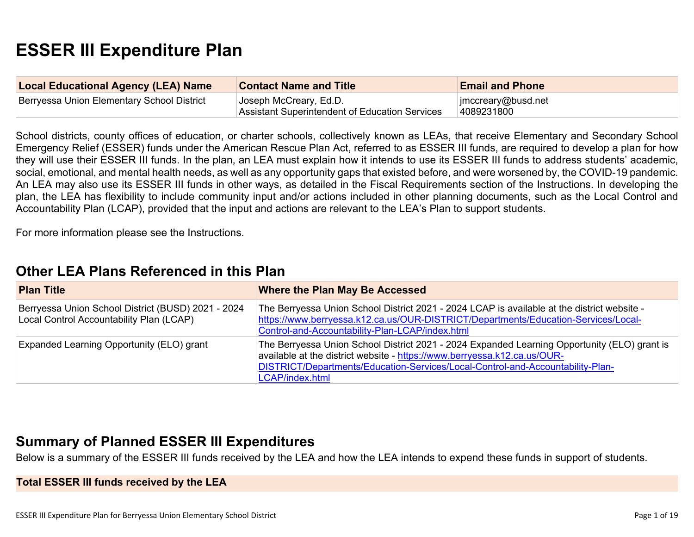# **ESSER III Expenditure Plan**

| <b>Local Educational Agency (LEA) Name</b> | <b>Contact Name and Title</b>                                                   | <b>Email and Phone</b>           |
|--------------------------------------------|---------------------------------------------------------------------------------|----------------------------------|
| Berryessa Union Elementary School District | Joseph McCreary, Ed.D.<br><b>Assistant Superintendent of Education Services</b> | imccreary@busd.net<br>4089231800 |

School districts, county offices of education, or charter schools, collectively known as LEAs, that receive Elementary and Secondary School Emergency Relief (ESSER) funds under the American Rescue Plan Act, referred to as ESSER III funds, are required to develop a plan for how they will use their ESSER III funds. In the plan, an LEA must explain how it intends to use its ESSER III funds to address students' academic, social, emotional, and mental health needs, as well as any opportunity gaps that existed before, and were worsened by, the COVID-19 pandemic. An LEA may also use its ESSER III funds in other ways, as detailed in the Fiscal Requirements section of the Instructions. In developing the plan, the LEA has flexibility to include community input and/or actions included in other planning documents, such as the Local Control and Accountability Plan (LCAP), provided that the input and actions are relevant to the LEA's Plan to support students.

For more information please see the Instructions.

| <b>Plan Title</b>                                                                              | Where the Plan May Be Accessed                                                                                                                                                                                                                                                |
|------------------------------------------------------------------------------------------------|-------------------------------------------------------------------------------------------------------------------------------------------------------------------------------------------------------------------------------------------------------------------------------|
| Berryessa Union School District (BUSD) 2021 - 2024<br>Local Control Accountability Plan (LCAP) | The Berryessa Union School District 2021 - 2024 LCAP is available at the district website -<br>https://www.berryessa.k12.ca.us/OUR-DISTRICT/Departments/Education-Services/Local-<br>Control-and-Accountability-Plan-LCAP/index.html                                          |
| Expanded Learning Opportunity (ELO) grant                                                      | The Berryessa Union School District 2021 - 2024 Expanded Learning Opportunity (ELO) grant is<br>available at the district website - https://www.berryessa.k12.ca.us/OUR-<br>DISTRICT/Departments/Education-Services/Local-Control-and-Accountability-Plan-<br>LCAP/index.html |

## **[Other LEA Plans Referenced in this Plan](#page-13-0)**

## **[Summary of Planned ESSER III Expenditures](#page-13-1)**

Below is a summary of the ESSER III funds received by the LEA and how the LEA intends to expend these funds in support of students.

**Total ESSER III funds received by the LEA**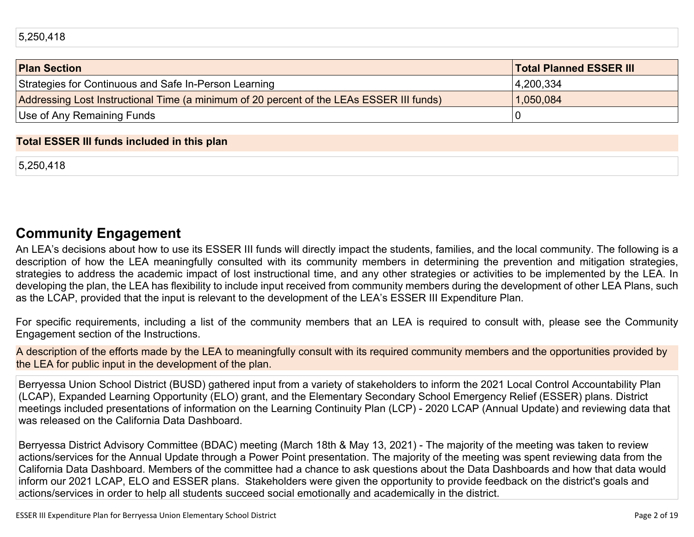| <b>Plan Section</b>                                                                      | <b>Total Planned ESSER III</b> |
|------------------------------------------------------------------------------------------|--------------------------------|
| Strategies for Continuous and Safe In-Person Learning                                    | 4,200,334                      |
| Addressing Lost Instructional Time (a minimum of 20 percent of the LEAs ESSER III funds) | 1,050,084                      |
| Use of Any Remaining Funds                                                               |                                |

#### **Total ESSER III funds included in this plan**

5,250,418

## **[Community Engagement](#page-14-0)**

An LEA's decisions about how to use its ESSER III funds will directly impact the students, families, and the local community. The following is a description of how the LEA meaningfully consulted with its community members in determining the prevention and mitigation strategies, strategies to address the academic impact of lost instructional time, and any other strategies or activities to be implemented by the LEA. In developing the plan, the LEA has flexibility to include input received from community members during the development of other LEA Plans, such as the LCAP, provided that the input is relevant to the development of the LEA's ESSER III Expenditure Plan.

For specific requirements, including a list of the community members that an LEA is required to consult with, please see the Community Engagement section of the Instructions.

A description of the efforts made by the LEA to meaningfully consult with its required community members and the opportunities provided by the LEA for public input in the development of the plan.

Berryessa Union School District (BUSD) gathered input from a variety of stakeholders to inform the 2021 Local Control Accountability Plan (LCAP), Expanded Learning Opportunity (ELO) grant, and the Elementary Secondary School Emergency Relief (ESSER) plans. District meetings included presentations of information on the Learning Continuity Plan (LCP) - 2020 LCAP (Annual Update) and reviewing data that was released on the California Data Dashboard.

Berryessa District Advisory Committee (BDAC) meeting (March 18th & May 13, 2021) - The majority of the meeting was taken to review actions/services for the Annual Update through a Power Point presentation. The majority of the meeting was spent reviewing data from the California Data Dashboard. Members of the committee had a chance to ask questions about the Data Dashboards and how that data would inform our 2021 LCAP, ELO and ESSER plans. Stakeholders were given the opportunity to provide feedback on the district's goals and actions/services in order to help all students succeed social emotionally and academically in the district.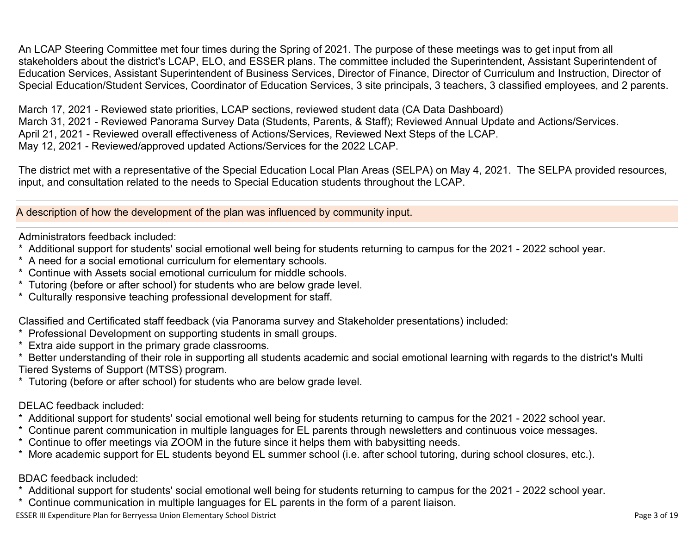An LCAP Steering Committee met four times during the Spring of 2021. The purpose of these meetings was to get input from all stakeholders about the district's LCAP, ELO, and ESSER plans. The committee included the Superintendent, Assistant Superintendent of Education Services, Assistant Superintendent of Business Services, Director of Finance, Director of Curriculum and Instruction, Director of Special Education/Student Services, Coordinator of Education Services, 3 site principals, 3 teachers, 3 classified employees, and 2 parents.

March 17, 2021 - Reviewed state priorities, LCAP sections, reviewed student data (CA Data Dashboard) March 31, 2021 - Reviewed Panorama Survey Data (Students, Parents, & Staff); Reviewed Annual Update and Actions/Services. April 21, 2021 - Reviewed overall effectiveness of Actions/Services, Reviewed Next Steps of the LCAP. May 12, 2021 - Reviewed/approved updated Actions/Services for the 2022 LCAP.

The district met with a representative of the Special Education Local Plan Areas (SELPA) on May 4, 2021. The SELPA provided resources, input, and consultation related to the needs to Special Education students throughout the LCAP.

A description of how the development of the plan was influenced by community input.

Administrators feedback included:

- Additional support for students' social emotional well being for students returning to campus for the 2021 2022 school year.
- A need for a social emotional curriculum for elementary schools.
- \* Continue with Assets social emotional curriculum for middle schools.
- \* Tutoring (before or after school) for students who are below grade level.
- Culturally responsive teaching professional development for staff.

Classified and Certificated staff feedback (via Panorama survey and Stakeholder presentations) included:

- \* Professional Development on supporting students in small groups.
- \* Extra aide support in the primary grade classrooms.

\* Better understanding of their role in supporting all students academic and social emotional learning with regards to the district's Multi Tiered Systems of Support (MTSS) program.

\* Tutoring (before or after school) for students who are below grade level.

### DELAC feedback included:

- \* Additional support for students' social emotional well being for students returning to campus for the 2021 2022 school year.
- \* Continue parent communication in multiple languages for EL parents through newsletters and continuous voice messages.
- Continue to offer meetings via ZOOM in the future since it helps them with babysitting needs.
- More academic support for EL students beyond EL summer school (i.e. after school tutoring, during school closures, etc.).

BDAC feedback included:

- \* Additional support for students' social emotional well being for students returning to campus for the 2021 2022 school year.
- Continue communication in multiple languages for EL parents in the form of a parent liaison.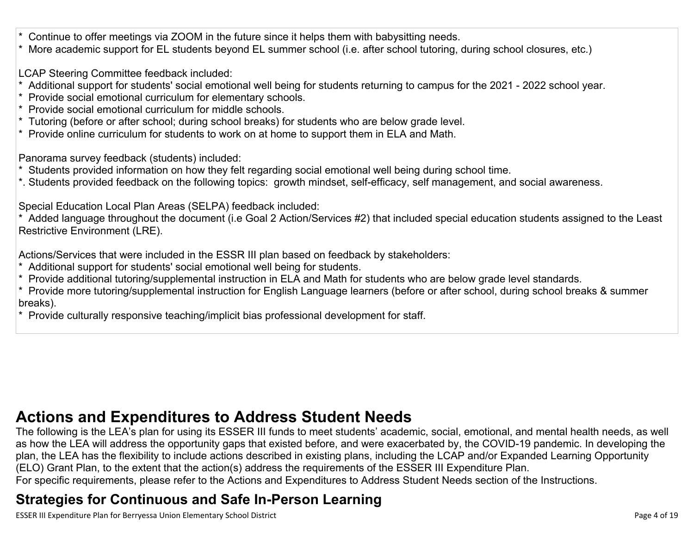Continue to offer meetings via ZOOM in the future since it helps them with babysitting needs.

\* More academic support for EL students beyond EL summer school (i.e. after school tutoring, during school closures, etc.)

LCAP Steering Committee feedback included:

- Additional support for students' social emotional well being for students returning to campus for the 2021 2022 school year.
- \* Provide social emotional curriculum for elementary schools.
- \* Provide social emotional curriculum for middle schools.
- \* Tutoring (before or after school; during school breaks) for students who are below grade level.
- \* Provide online curriculum for students to work on at home to support them in ELA and Math.

Panorama survey feedback (students) included:

- Students provided information on how they felt regarding social emotional well being during school time.
- \*. Students provided feedback on the following topics: growth mindset, self-efficacy, self management, and social awareness.

Special Education Local Plan Areas (SELPA) feedback included:

\* Added language throughout the document (i.e Goal 2 Action/Services #2) that included special education students assigned to the Least Restrictive Environment (LRE).

Actions/Services that were included in the ESSR III plan based on feedback by stakeholders:

- \* Additional support for students' social emotional well being for students.
- \* Provide additional tutoring/supplemental instruction in ELA and Math for students who are below grade level standards.
- \* Provide more tutoring/supplemental instruction for English Language learners (before or after school, during school breaks & summer breaks).
- \* Provide culturally responsive teaching/implicit bias professional development for staff.

# **[Actions and Expenditures to Address Student Needs](#page-16-0)**

The following is the LEA's plan for using its ESSER III funds to meet students' academic, social, emotional, and mental health needs, as well as how the LEA will address the opportunity gaps that existed before, and were exacerbated by, the COVID-19 pandemic. In developing the plan, the LEA has the flexibility to include actions described in existing plans, including the LCAP and/or Expanded Learning Opportunity (ELO) Grant Plan, to the extent that the action(s) address the requirements of the ESSER III Expenditure Plan.

For specific requirements, please refer to the Actions and Expenditures to Address Student Needs section of the Instructions.

# **[Strategies for Continuous and Safe In-Person Learning](#page-16-1)**

ESSER III Expenditure Plan for Berryessa Union Elementary School District **Page 4 of 19** Page 4 of 19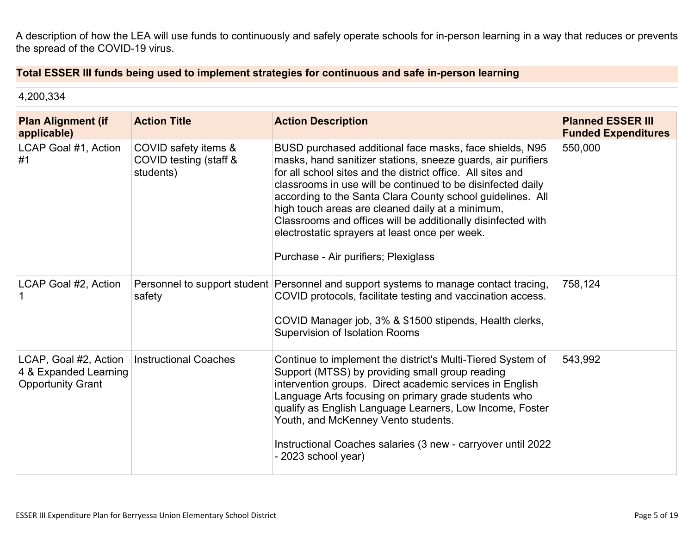A description of how the LEA will use funds to continuously and safely operate schools for in-person learning in a way that reduces or prevents the spread of the COVID-19 virus.

### **Total ESSER III funds being used to implement strategies for continuous and safe in-person learning**

| 4,200,334                                                                  |                                                             |                                                                                                                                                                                                                                                                                                                                                                                                                                                                                                                                   |                                                        |
|----------------------------------------------------------------------------|-------------------------------------------------------------|-----------------------------------------------------------------------------------------------------------------------------------------------------------------------------------------------------------------------------------------------------------------------------------------------------------------------------------------------------------------------------------------------------------------------------------------------------------------------------------------------------------------------------------|--------------------------------------------------------|
| <b>Plan Alignment (if</b><br>applicable)                                   | <b>Action Title</b>                                         | <b>Action Description</b>                                                                                                                                                                                                                                                                                                                                                                                                                                                                                                         | <b>Planned ESSER III</b><br><b>Funded Expenditures</b> |
| LCAP Goal #1, Action<br>#1                                                 | COVID safety items &<br>COVID testing (staff &<br>students) | BUSD purchased additional face masks, face shields, N95<br>masks, hand sanitizer stations, sneeze guards, air purifiers<br>for all school sites and the district office. All sites and<br>classrooms in use will be continued to be disinfected daily<br>according to the Santa Clara County school guidelines. All<br>high touch areas are cleaned daily at a minimum,<br>Classrooms and offices will be additionally disinfected with<br>electrostatic sprayers at least once per week.<br>Purchase - Air purifiers; Plexiglass | 550,000                                                |
| LCAP Goal #2, Action                                                       | safety                                                      | Personnel to support student Personnel and support systems to manage contact tracing,<br>COVID protocols, facilitate testing and vaccination access.<br>COVID Manager job, 3% & \$1500 stipends, Health clerks,<br><b>Supervision of Isolation Rooms</b>                                                                                                                                                                                                                                                                          | 758,124                                                |
| LCAP, Goal #2, Action<br>4 & Expanded Learning<br><b>Opportunity Grant</b> | <b>Instructional Coaches</b>                                | Continue to implement the district's Multi-Tiered System of<br>Support (MTSS) by providing small group reading<br>intervention groups. Direct academic services in English<br>Language Arts focusing on primary grade students who<br>qualify as English Language Learners, Low Income, Foster<br>Youth, and McKenney Vento students.<br>Instructional Coaches salaries (3 new - carryover until 2022<br>- 2023 school year)                                                                                                      | 543,992                                                |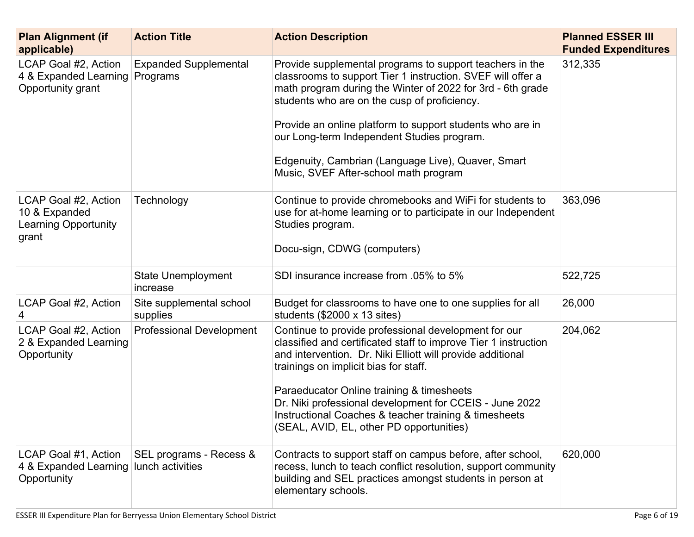| <b>Plan Alignment (if</b><br>applicable)                                      | <b>Action Title</b>                   | <b>Action Description</b>                                                                                                                                                                                                                                                                                                                                                                                                                       | <b>Planned ESSER III</b><br><b>Funded Expenditures</b> |
|-------------------------------------------------------------------------------|---------------------------------------|-------------------------------------------------------------------------------------------------------------------------------------------------------------------------------------------------------------------------------------------------------------------------------------------------------------------------------------------------------------------------------------------------------------------------------------------------|--------------------------------------------------------|
| LCAP Goal #2, Action<br>4 & Expanded Learning Programs<br>Opportunity grant   | <b>Expanded Supplemental</b>          | Provide supplemental programs to support teachers in the<br>classrooms to support Tier 1 instruction. SVEF will offer a<br>math program during the Winter of 2022 for 3rd - 6th grade<br>students who are on the cusp of proficiency.<br>Provide an online platform to support students who are in<br>our Long-term Independent Studies program.<br>Edgenuity, Cambrian (Language Live), Quaver, Smart<br>Music, SVEF After-school math program | 312,335                                                |
| LCAP Goal #2, Action<br>10 & Expanded<br><b>Learning Opportunity</b><br>grant | Technology                            | Continue to provide chromebooks and WiFi for students to<br>use for at-home learning or to participate in our Independent<br>Studies program.<br>Docu-sign, CDWG (computers)                                                                                                                                                                                                                                                                    | 363,096                                                |
|                                                                               | <b>State Unemployment</b><br>increase | SDI insurance increase from .05% to 5%                                                                                                                                                                                                                                                                                                                                                                                                          | 522,725                                                |
| LCAP Goal #2, Action<br>4                                                     | Site supplemental school<br>supplies  | Budget for classrooms to have one to one supplies for all<br>students $(\$2000 \times 13 \text{ sites})$                                                                                                                                                                                                                                                                                                                                        | 26,000                                                 |
| LCAP Goal #2, Action<br>2 & Expanded Learning<br>Opportunity                  | <b>Professional Development</b>       | Continue to provide professional development for our<br>classified and certificated staff to improve Tier 1 instruction<br>and intervention. Dr. Niki Elliott will provide additional<br>trainings on implicit bias for staff.<br>Paraeducator Online training & timesheets<br>Dr. Niki professional development for CCEIS - June 2022<br>Instructional Coaches & teacher training & timesheets<br>(SEAL, AVID, EL, other PD opportunities)     | 204,062                                                |
| LCAP Goal #1, Action<br>4 & Expanded Learning lunch activities<br>Opportunity | SEL programs - Recess &               | Contracts to support staff on campus before, after school,<br>recess, lunch to teach conflict resolution, support community<br>building and SEL practices amongst students in person at<br>elementary schools.                                                                                                                                                                                                                                  | 620,000                                                |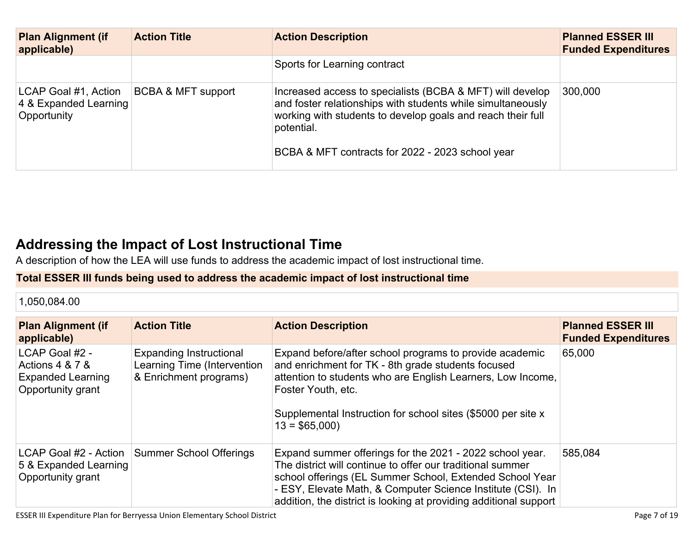| <b>Plan Alignment (if</b><br>applicable)                     | <b>Action Title</b>           | <b>Action Description</b>                                                                                                                                                                                                                                 | <b>Planned ESSER III</b><br><b>Funded Expenditures</b> |
|--------------------------------------------------------------|-------------------------------|-----------------------------------------------------------------------------------------------------------------------------------------------------------------------------------------------------------------------------------------------------------|--------------------------------------------------------|
|                                                              |                               | Sports for Learning contract                                                                                                                                                                                                                              |                                                        |
| LCAP Goal #1, Action<br>4 & Expanded Learning<br>Opportunity | <b>BCBA &amp; MFT support</b> | Increased access to specialists (BCBA & MFT) will develop<br>and foster relationships with students while simultaneously<br>working with students to develop goals and reach their full<br>potential.<br>BCBA & MFT contracts for 2022 - 2023 school year | 300,000                                                |

## **[Addressing the Impact of Lost Instructional Time](#page-17-0)**

A description of how the LEA will use funds to address the academic impact of lost instructional time.

### **Total ESSER III funds being used to address the academic impact of lost instructional time**

1,050,084.00

| <b>Plan Alignment (if</b><br>applicable)                                           | <b>Action Title</b>                                                                     | <b>Action Description</b>                                                                                                                                                                                                                                                                                              | <b>Planned ESSER III</b><br><b>Funded Expenditures</b> |
|------------------------------------------------------------------------------------|-----------------------------------------------------------------------------------------|------------------------------------------------------------------------------------------------------------------------------------------------------------------------------------------------------------------------------------------------------------------------------------------------------------------------|--------------------------------------------------------|
| LCAP Goal #2 -<br>Actions 4 & 7 &<br><b>Expanded Learning</b><br>Opportunity grant | <b>Expanding Instructional</b><br>Learning Time (Intervention<br>& Enrichment programs) | Expand before/after school programs to provide academic<br>and enrichment for TK - 8th grade students focused<br>attention to students who are English Learners, Low Income,<br>Foster Youth, etc.<br>Supplemental Instruction for school sites (\$5000 per site x<br>$13 = $65,000$                                   | 65,000                                                 |
| LCAP Goal #2 - Action<br>5 & Expanded Learning<br>Opportunity grant                | Summer School Offerings                                                                 | Expand summer offerings for the 2021 - 2022 school year.<br>The district will continue to offer our traditional summer<br>school offerings (EL Summer School, Extended School Year<br>- ESY, Elevate Math, & Computer Science Institute (CSI). In<br>addition, the district is looking at providing additional support | 585,084                                                |

ESSER III Expenditure Plan for Berryessa Union Elementary School District **Page 7** of 19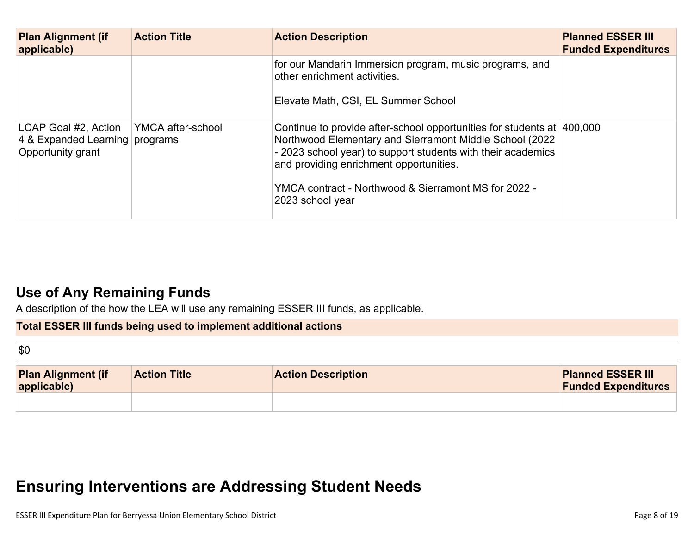| <b>Plan Alignment (if</b><br>applicable)                                                        | <b>Action Title</b> | <b>Action Description</b>                                                                                                                                                                                                                                                                             | <b>Planned ESSER III</b><br><b>Funded Expenditures</b> |
|-------------------------------------------------------------------------------------------------|---------------------|-------------------------------------------------------------------------------------------------------------------------------------------------------------------------------------------------------------------------------------------------------------------------------------------------------|--------------------------------------------------------|
|                                                                                                 |                     | for our Mandarin Immersion program, music programs, and<br>other enrichment activities.                                                                                                                                                                                                               |                                                        |
|                                                                                                 |                     | Elevate Math, CSI, EL Summer School                                                                                                                                                                                                                                                                   |                                                        |
| LCAP Goal #2, Action   YMCA after-school<br>4 & Expanded Learning programs<br>Opportunity grant |                     | Continue to provide after-school opportunities for students at 400,000<br>Northwood Elementary and Sierramont Middle School (2022)<br>- 2023 school year) to support students with their academics<br>and providing enrichment opportunities.<br>YMCA contract - Northwood & Sierramont MS for 2022 - |                                                        |
|                                                                                                 |                     | 2023 school year                                                                                                                                                                                                                                                                                      |                                                        |

## **[Use of Any Remaining Funds](#page-17-1)**

A description of the how the LEA will use any remaining ESSER III funds, as applicable.

### **Total ESSER III funds being used to implement additional actions**

| $\sqrt{30}$                              |                     |                           |                                                        |
|------------------------------------------|---------------------|---------------------------|--------------------------------------------------------|
| <b>Plan Alignment (if</b><br>applicable) | <b>Action Title</b> | <b>Action Description</b> | <b>Planned ESSER III</b><br><b>Funded Expenditures</b> |
|                                          |                     |                           |                                                        |

# **[Ensuring Interventions are Addressing Student Needs](#page-17-2)**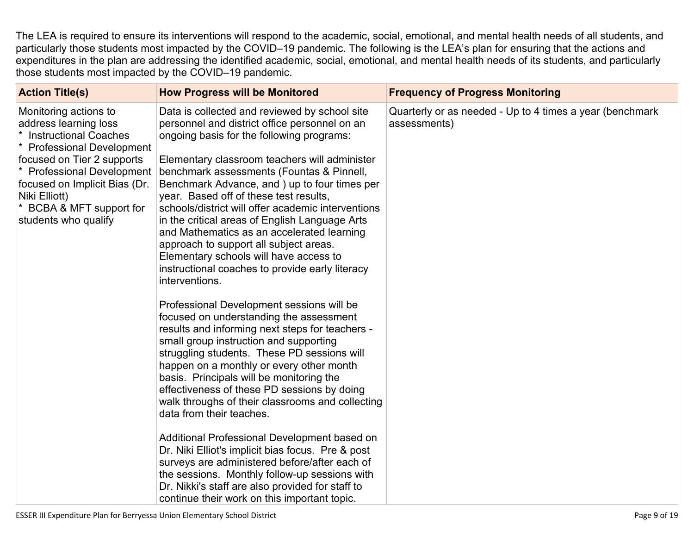The LEA is required to ensure its interventions will respond to the academic, social, emotional, and mental health needs of all students, and particularly those students most impacted by the COVID–19 pandemic. The following is the LEA's plan for ensuring that the actions and expenditures in the plan are addressing the identified academic, social, emotional, and mental health needs of its students, and particularly those students most impacted by the COVID–19 pandemic.

| <b>Action Title(s)</b>                                                                                                                                                                                                                                                                       | <b>How Progress will be Monitored</b>                                                                                                                                                                                                                                                                                                                                                                                                                                                                                                                                                                                                                                                                                 | <b>Frequency of Progress Monitoring</b>                                  |
|----------------------------------------------------------------------------------------------------------------------------------------------------------------------------------------------------------------------------------------------------------------------------------------------|-----------------------------------------------------------------------------------------------------------------------------------------------------------------------------------------------------------------------------------------------------------------------------------------------------------------------------------------------------------------------------------------------------------------------------------------------------------------------------------------------------------------------------------------------------------------------------------------------------------------------------------------------------------------------------------------------------------------------|--------------------------------------------------------------------------|
| Monitoring actions to<br>address learning loss<br>$\star$<br><b>Instructional Coaches</b><br>* Professional Development<br>focused on Tier 2 supports<br><b>Professional Development</b><br>focused on Implicit Bias (Dr.<br>Niki Elliott)<br>BCBA & MFT support for<br>students who qualify | Data is collected and reviewed by school site<br>personnel and district office personnel on an<br>ongoing basis for the following programs:<br>Elementary classroom teachers will administer<br>benchmark assessments (Fountas & Pinnell,<br>Benchmark Advance, and ) up to four times per<br>year. Based off of these test results,<br>schools/district will offer academic interventions<br>in the critical areas of English Language Arts<br>and Mathematics as an accelerated learning<br>approach to support all subject areas.<br>Elementary schools will have access to<br>instructional coaches to provide early literacy<br>interventions.<br>Professional Development sessions will be                      | Quarterly or as needed - Up to 4 times a year (benchmark<br>assessments) |
|                                                                                                                                                                                                                                                                                              | focused on understanding the assessment<br>results and informing next steps for teachers -<br>small group instruction and supporting<br>struggling students. These PD sessions will<br>happen on a monthly or every other month<br>basis. Principals will be monitoring the<br>effectiveness of these PD sessions by doing<br>walk throughs of their classrooms and collecting<br>data from their teaches.<br>Additional Professional Development based on<br>Dr. Niki Elliot's implicit bias focus. Pre & post<br>surveys are administered before/after each of<br>the sessions. Monthly follow-up sessions with<br>Dr. Nikki's staff are also provided for staff to<br>continue their work on this important topic. |                                                                          |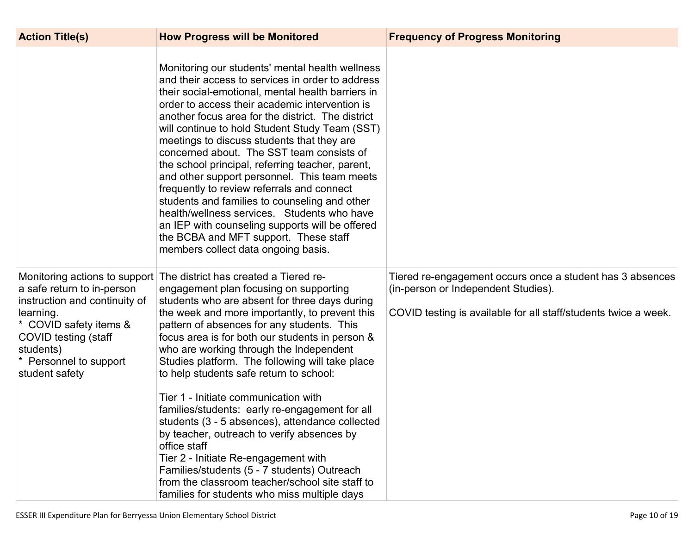| <b>Action Title(s)</b>                                                                                                                                                                                             | <b>How Progress will be Monitored</b>                                                                                                                                                                                                                                                                                                                                                                                                                                                                                                                                                                                                                                                                                                                                                                                             | <b>Frequency of Progress Monitoring</b>                                                                                                                             |
|--------------------------------------------------------------------------------------------------------------------------------------------------------------------------------------------------------------------|-----------------------------------------------------------------------------------------------------------------------------------------------------------------------------------------------------------------------------------------------------------------------------------------------------------------------------------------------------------------------------------------------------------------------------------------------------------------------------------------------------------------------------------------------------------------------------------------------------------------------------------------------------------------------------------------------------------------------------------------------------------------------------------------------------------------------------------|---------------------------------------------------------------------------------------------------------------------------------------------------------------------|
|                                                                                                                                                                                                                    | Monitoring our students' mental health wellness<br>and their access to services in order to address<br>their social-emotional, mental health barriers in<br>order to access their academic intervention is<br>another focus area for the district. The district<br>will continue to hold Student Study Team (SST)<br>meetings to discuss students that they are<br>concerned about. The SST team consists of<br>the school principal, referring teacher, parent,<br>and other support personnel. This team meets<br>frequently to review referrals and connect<br>students and families to counseling and other<br>health/wellness services. Students who have<br>an IEP with counseling supports will be offered<br>the BCBA and MFT support. These staff<br>members collect data ongoing basis.                                 |                                                                                                                                                                     |
| Monitoring actions to support<br>a safe return to in-person<br>instruction and continuity of<br>learning.<br>* COVID safety items &<br>COVID testing (staff<br>students)<br>Personnel to support<br>student safety | The district has created a Tiered re-<br>engagement plan focusing on supporting<br>students who are absent for three days during<br>the week and more importantly, to prevent this<br>pattern of absences for any students. This<br>focus area is for both our students in person &<br>who are working through the Independent<br>Studies platform. The following will take place<br>to help students safe return to school:<br>Tier 1 - Initiate communication with<br>families/students: early re-engagement for all<br>students (3 - 5 absences), attendance collected<br>by teacher, outreach to verify absences by<br>office staff<br>Tier 2 - Initiate Re-engagement with<br>Families/students (5 - 7 students) Outreach<br>from the classroom teacher/school site staff to<br>families for students who miss multiple days | Tiered re-engagement occurs once a student has 3 absences<br>(in-person or Independent Studies).<br>COVID testing is available for all staff/students twice a week. |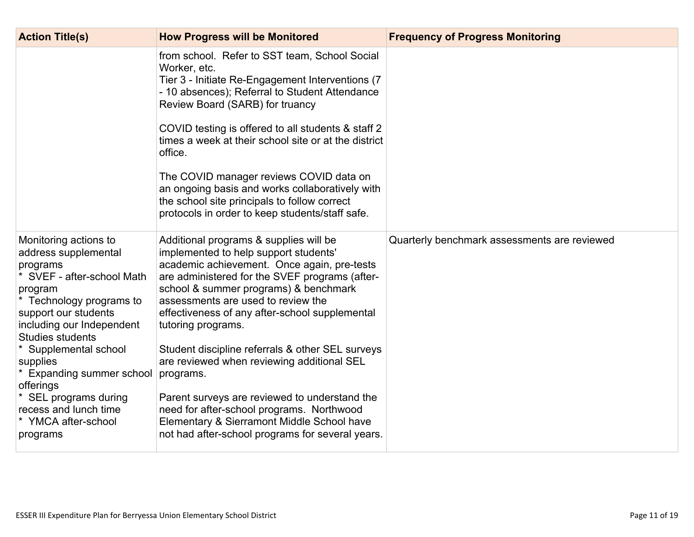| <b>Action Title(s)</b>                                                                                                                                                                                                                                                                                                                                                            | <b>How Progress will be Monitored</b>                                                                                                                                                                                                                                                                                                                                                                                                                                                                                                                                                                                                                  | <b>Frequency of Progress Monitoring</b>      |
|-----------------------------------------------------------------------------------------------------------------------------------------------------------------------------------------------------------------------------------------------------------------------------------------------------------------------------------------------------------------------------------|--------------------------------------------------------------------------------------------------------------------------------------------------------------------------------------------------------------------------------------------------------------------------------------------------------------------------------------------------------------------------------------------------------------------------------------------------------------------------------------------------------------------------------------------------------------------------------------------------------------------------------------------------------|----------------------------------------------|
|                                                                                                                                                                                                                                                                                                                                                                                   | from school. Refer to SST team, School Social<br>Worker, etc.<br>Tier 3 - Initiate Re-Engagement Interventions (7)<br>- 10 absences); Referral to Student Attendance<br>Review Board (SARB) for truancy<br>COVID testing is offered to all students & staff 2<br>times a week at their school site or at the district<br>office.<br>The COVID manager reviews COVID data on<br>an ongoing basis and works collaboratively with<br>the school site principals to follow correct<br>protocols in order to keep students/staff safe.                                                                                                                      |                                              |
| Monitoring actions to<br>address supplemental<br>programs<br>$\star$<br>SVEF - after-school Math<br>program<br>Technology programs to<br>support our students<br>including our Independent<br><b>Studies students</b><br>Supplemental school<br>supplies<br>Expanding summer school<br>offerings<br>SEL programs during<br>recess and lunch time<br>YMCA after-school<br>programs | Additional programs & supplies will be<br>implemented to help support students'<br>academic achievement. Once again, pre-tests<br>are administered for the SVEF programs (after-<br>school & summer programs) & benchmark<br>assessments are used to review the<br>effectiveness of any after-school supplemental<br>tutoring programs.<br>Student discipline referrals & other SEL surveys<br>are reviewed when reviewing additional SEL<br>programs.<br>Parent surveys are reviewed to understand the<br>need for after-school programs. Northwood<br>Elementary & Sierramont Middle School have<br>not had after-school programs for several years. | Quarterly benchmark assessments are reviewed |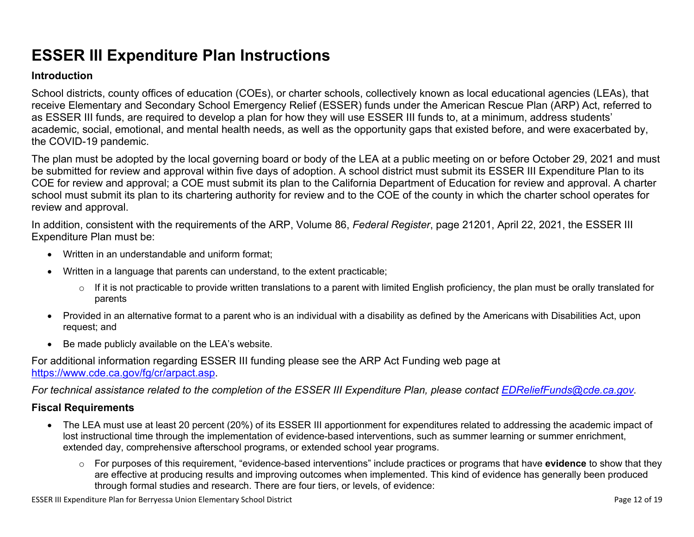# **ESSER III Expenditure Plan Instructions**

#### **Introduction**

School districts, county offices of education (COEs), or charter schools, collectively known as local educational agencies (LEAs), that receive Elementary and Secondary School Emergency Relief (ESSER) funds under the American Rescue Plan (ARP) Act, referred to as ESSER III funds, are required to develop a plan for how they will use ESSER III funds to, at a minimum, address students' academic, social, emotional, and mental health needs, as well as the opportunity gaps that existed before, and were exacerbated by, the COVID-19 pandemic.

The plan must be adopted by the local governing board or body of the LEA at a public meeting on or before October 29, 2021 and must be submitted for review and approval within five days of adoption. A school district must submit its ESSER III Expenditure Plan to its COE for review and approval; a COE must submit its plan to the California Department of Education for review and approval. A charter school must submit its plan to its chartering authority for review and to the COE of the county in which the charter school operates for review and approval.

In addition, consistent with the requirements of the ARP, Volume 86, *Federal Register*, page 21201, April 22, 2021, the ESSER III Expenditure Plan must be:

- Written in an understandable and uniform format;
- Written in a language that parents can understand, to the extent practicable;
	- $\circ$  If it is not practicable to provide written translations to a parent with limited English proficiency, the plan must be orally translated for parents
- Provided in an alternative format to a parent who is an individual with a disability as defined by the Americans with Disabilities Act, upon request; and
- Be made publicly available on the LEA's website.

For additional information regarding ESSER III funding please see the ARP Act Funding web page at <https://www.cde.ca.gov/fg/cr/arpact.asp>.

*For technical assistance related to the completion of the ESSER III Expenditure Plan, please contact [EDReliefFunds@cde.ca.gov](mailto:EDReliefFunds@cde.ca.gov).* 

#### **Fiscal Requirements**

- The LEA must use at least 20 percent (20%) of its ESSER III apportionment for expenditures related to addressing the academic impact of lost instructional time through the implementation of evidence-based interventions, such as summer learning or summer enrichment, extended day, comprehensive afterschool programs, or extended school year programs.
	- o For purposes of this requirement, "evidence-based interventions" include practices or programs that have **evidence** to show that they are effective at producing results and improving outcomes when implemented. This kind of evidence has generally been produced through formal studies and research. There are four tiers, or levels, of evidence:

ESSER III Expenditure Plan for Berryessa Union Elementary School District **Page 12** of 19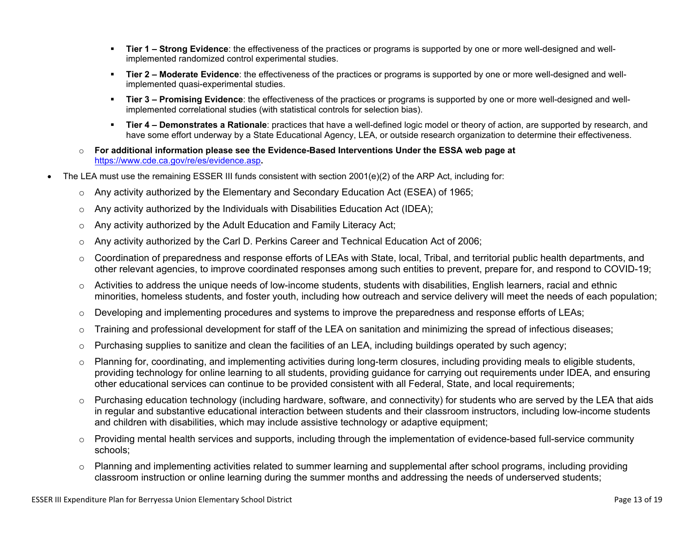- **Tier 1 Strong Evidence**: the effectiveness of the practices or programs is supported by one or more well-designed and wellimplemented randomized control experimental studies.
- **Tier 2 Moderate Evidence**: the effectiveness of the practices or programs is supported by one or more well-designed and wellimplemented quasi-experimental studies.
- Tier 3 Promising Evidence: the effectiveness of the practices or programs is supported by one or more well-designed and wellimplemented correlational studies (with statistical controls for selection bias).
- **EXTIET 4 Demonstrates a Rationale**: practices that have a well-defined logic model or theory of action, are supported by research, and have some effort underway by a State Educational Agency, LEA, or outside research organization to determine their effectiveness.
- o **For additional information please see the Evidence-Based Interventions Under the ESSA web page at**  <https://www.cde.ca.gov/re/es/evidence.asp>**.**
- The LEA must use the remaining ESSER III funds consistent with section 2001(e)(2) of the ARP Act, including for:
	- $\circ$  Any activity authorized by the Elementary and Secondary Education Act (ESEA) of 1965;
	- $\circ$  Any activity authorized by the Individuals with Disabilities Education Act (IDEA);
	- o Any activity authorized by the Adult Education and Family Literacy Act;
	- $\circ$  Any activity authorized by the Carl D. Perkins Career and Technical Education Act of 2006;
	- $\circ$  Coordination of preparedness and response efforts of LEAs with State, local, Tribal, and territorial public health departments, and other relevant agencies, to improve coordinated responses among such entities to prevent, prepare for, and respond to COVID-19;
	- $\circ$  Activities to address the unique needs of low-income students, students with disabilities, English learners, racial and ethnic minorities, homeless students, and foster youth, including how outreach and service delivery will meet the needs of each population;
	- o Developing and implementing procedures and systems to improve the preparedness and response efforts of LEAs;
	- $\circ$  Training and professional development for staff of the LEA on sanitation and minimizing the spread of infectious diseases;
	- $\circ$  Purchasing supplies to sanitize and clean the facilities of an LEA, including buildings operated by such agency;
	- $\circ$  Planning for, coordinating, and implementing activities during long-term closures, including providing meals to eligible students, providing technology for online learning to all students, providing guidance for carrying out requirements under IDEA, and ensuring other educational services can continue to be provided consistent with all Federal, State, and local requirements;
	- $\circ$  Purchasing education technology (including hardware, software, and connectivity) for students who are served by the LEA that aids in regular and substantive educational interaction between students and their classroom instructors, including low-income students and children with disabilities, which may include assistive technology or adaptive equipment;
	- $\circ$  Providing mental health services and supports, including through the implementation of evidence-based full-service community schools;
	- o Planning and implementing activities related to summer learning and supplemental after school programs, including providing classroom instruction or online learning during the summer months and addressing the needs of underserved students;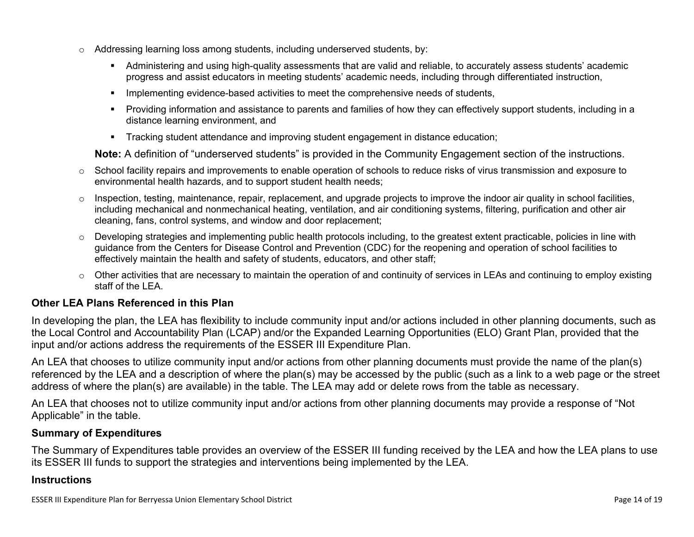- $\circ$  Addressing learning loss among students, including underserved students, by:
	- Administering and using high-quality assessments that are valid and reliable, to accurately assess students' academic progress and assist educators in meeting students' academic needs, including through differentiated instruction,
	- **•** Implementing evidence-based activities to meet the comprehensive needs of students,
	- Providing information and assistance to parents and families of how they can effectively support students, including in a distance learning environment, and
	- Tracking student attendance and improving student engagement in distance education;

**Note:** A definition of "underserved students" is provided in the Community Engagement section of the instructions.

- o School facility repairs and improvements to enable operation of schools to reduce risks of virus transmission and exposure to environmental health hazards, and to support student health needs;
- $\circ$  Inspection, testing, maintenance, repair, replacement, and upgrade projects to improve the indoor air quality in school facilities, including mechanical and nonmechanical heating, ventilation, and air conditioning systems, filtering, purification and other air cleaning, fans, control systems, and window and door replacement;
- $\circ$  Developing strategies and implementing public health protocols including, to the greatest extent practicable, policies in line with guidance from the Centers for Disease Control and Prevention (CDC) for the reopening and operation of school facilities to effectively maintain the health and safety of students, educators, and other staff;
- $\circ$  Other activities that are necessary to maintain the operation of and continuity of services in LEAs and continuing to employ existing staff of the LEA.

#### <span id="page-13-0"></span>**Other LEA Plans Referenced in this Plan**

In developing the plan, the LEA has flexibility to include community input and/or actions included in other planning documents, such as the Local Control and Accountability Plan (LCAP) and/or the Expanded Learning Opportunities (ELO) Grant Plan, provided that the input and/or actions address the requirements of the ESSER III Expenditure Plan.

An LEA that chooses to utilize community input and/or actions from other planning documents must provide the name of the plan(s) referenced by the LEA and a description of where the plan(s) may be accessed by the public (such as a link to a web page or the street address of where the plan(s) are available) in the table. The LEA may add or delete rows from the table as necessary.

An LEA that chooses not to utilize community input and/or actions from other planning documents may provide a response of "Not Applicable" in the table.

#### <span id="page-13-1"></span>**Summary of Expenditures**

The Summary of Expenditures table provides an overview of the ESSER III funding received by the LEA and how the LEA plans to use its ESSER III funds to support the strategies and interventions being implemented by the LEA.

#### **Instructions**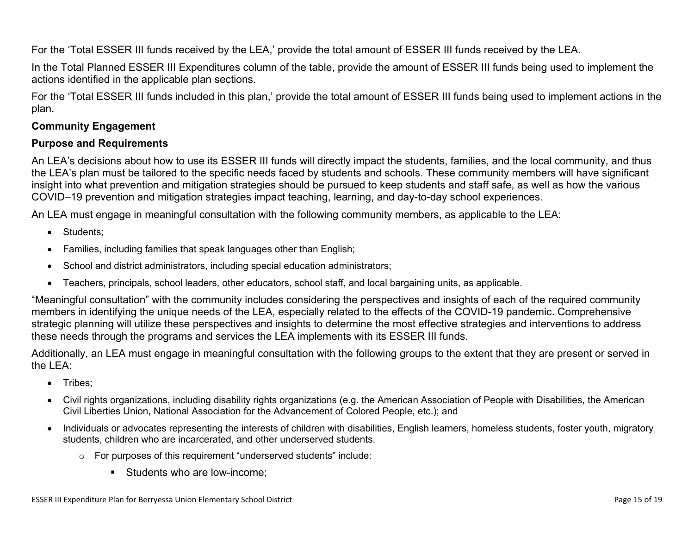For the 'Total ESSER III funds received by the LEA,' provide the total amount of ESSER III funds received by the LEA.

In the Total Planned ESSER III Expenditures column of the table, provide the amount of ESSER III funds being used to implement the actions identified in the applicable plan sections.

For the 'Total ESSER III funds included in this plan,' provide the total amount of ESSER III funds being used to implement actions in the plan.

#### <span id="page-14-0"></span>**Community Engagement**

#### **Purpose and Requirements**

An LEA's decisions about how to use its ESSER III funds will directly impact the students, families, and the local community, and thus the LEA's plan must be tailored to the specific needs faced by students and schools. These community members will have significant insight into what prevention and mitigation strategies should be pursued to keep students and staff safe, as well as how the various COVID–19 prevention and mitigation strategies impact teaching, learning, and day-to-day school experiences.

An LEA must engage in meaningful consultation with the following community members, as applicable to the LEA:

- Students:
- Families, including families that speak languages other than English;
- School and district administrators, including special education administrators;
- Teachers, principals, school leaders, other educators, school staff, and local bargaining units, as applicable.

"Meaningful consultation" with the community includes considering the perspectives and insights of each of the required community members in identifying the unique needs of the LEA, especially related to the effects of the COVID-19 pandemic. Comprehensive strategic planning will utilize these perspectives and insights to determine the most effective strategies and interventions to address these needs through the programs and services the LEA implements with its ESSER III funds.

Additionally, an LEA must engage in meaningful consultation with the following groups to the extent that they are present or served in the LEA:

- Tribes:
- Civil rights organizations, including disability rights organizations (e.g. the American Association of People with Disabilities, the American Civil Liberties Union, National Association for the Advancement of Colored People, etc.); and
- Individuals or advocates representing the interests of children with disabilities, English learners, homeless students, foster youth, migratory students, children who are incarcerated, and other underserved students.
	- o For purposes of this requirement "underserved students" include:
		- Students who are low-income: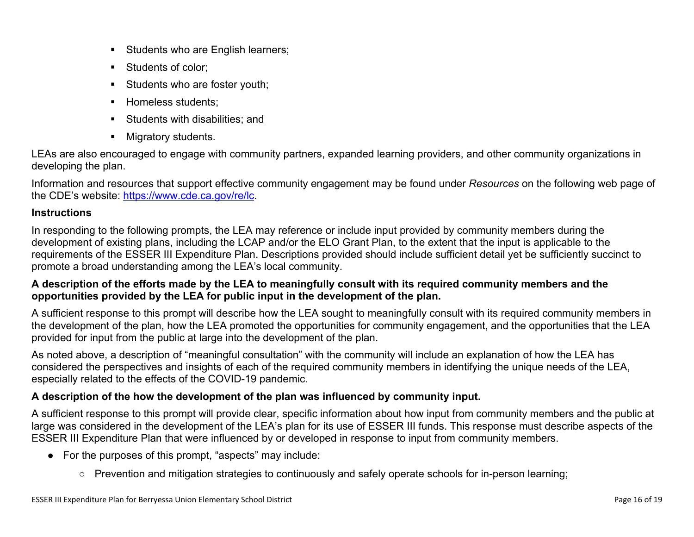- **EXEC** Students who are English learners;
- Students of color:
- **EXECUTE:** Students who are foster youth;
- **E** Homeless students;
- Students with disabilities: and
- Migratory students.

LEAs are also encouraged to engage with community partners, expanded learning providers, and other community organizations in developing the plan.

Information and resources that support effective community engagement may be found under *Resources* on the following web page of the CDE's website: <https://www.cde.ca.gov/re/lc>.

#### **Instructions**

In responding to the following prompts, the LEA may reference or include input provided by community members during the development of existing plans, including the LCAP and/or the ELO Grant Plan, to the extent that the input is applicable to the requirements of the ESSER III Expenditure Plan. Descriptions provided should include sufficient detail yet be sufficiently succinct to promote a broad understanding among the LEA's local community.

#### **A description of the efforts made by the LEA to meaningfully consult with its required community members and the opportunities provided by the LEA for public input in the development of the plan.**

A sufficient response to this prompt will describe how the LEA sought to meaningfully consult with its required community members in the development of the plan, how the LEA promoted the opportunities for community engagement, and the opportunities that the LEA provided for input from the public at large into the development of the plan.

As noted above, a description of "meaningful consultation" with the community will include an explanation of how the LEA has considered the perspectives and insights of each of the required community members in identifying the unique needs of the LEA, especially related to the effects of the COVID-19 pandemic.

### **A description of the how the development of the plan was influenced by community input.**

A sufficient response to this prompt will provide clear, specific information about how input from community members and the public at large was considered in the development of the LEA's plan for its use of ESSER III funds. This response must describe aspects of the ESSER III Expenditure Plan that were influenced by or developed in response to input from community members.

- For the purposes of this prompt, "aspects" may include:
	- Prevention and mitigation strategies to continuously and safely operate schools for in-person learning;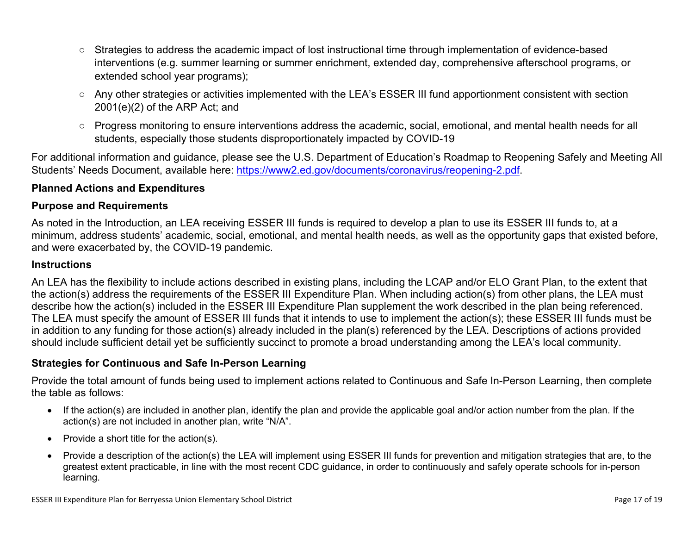- Strategies to address the academic impact of lost instructional time through implementation of evidence-based interventions (e.g. summer learning or summer enrichment, extended day, comprehensive afterschool programs, or extended school year programs);
- Any other strategies or activities implemented with the LEA's ESSER III fund apportionment consistent with section 2001(e)(2) of the ARP Act; and
- Progress monitoring to ensure interventions address the academic, social, emotional, and mental health needs for all students, especially those students disproportionately impacted by COVID-19

For additional information and guidance, please see the U.S. Department of Education's Roadmap to Reopening Safely and Meeting All Students' Needs Document, available here: [https://www2.ed.gov/documents/coronavirus/reopening-2.pdf.](https://www2.ed.gov/documents/coronavirus/reopening-2.pdf)

#### <span id="page-16-0"></span>**Planned Actions and Expenditures**

#### **Purpose and Requirements**

As noted in the Introduction, an LEA receiving ESSER III funds is required to develop a plan to use its ESSER III funds to, at a minimum, address students' academic, social, emotional, and mental health needs, as well as the opportunity gaps that existed before, and were exacerbated by, the COVID-19 pandemic.

#### **Instructions**

An LEA has the flexibility to include actions described in existing plans, including the LCAP and/or ELO Grant Plan, to the extent that the action(s) address the requirements of the ESSER III Expenditure Plan. When including action(s) from other plans, the LEA must describe how the action(s) included in the ESSER III Expenditure Plan supplement the work described in the plan being referenced. The LEA must specify the amount of ESSER III funds that it intends to use to implement the action(s); these ESSER III funds must be in addition to any funding for those action(s) already included in the plan(s) referenced by the LEA. Descriptions of actions provided should include sufficient detail yet be sufficiently succinct to promote a broad understanding among the LEA's local community.

#### <span id="page-16-1"></span>**Strategies for Continuous and Safe In-Person Learning**

Provide the total amount of funds being used to implement actions related to Continuous and Safe In-Person Learning, then complete the table as follows:

- If the action(s) are included in another plan, identify the plan and provide the applicable goal and/or action number from the plan. If the action(s) are not included in another plan, write "N/A".
- Provide a short title for the action(s).
- Provide a description of the action(s) the LEA will implement using ESSER III funds for prevention and mitigation strategies that are, to the greatest extent practicable, in line with the most recent CDC guidance, in order to continuously and safely operate schools for in-person learning.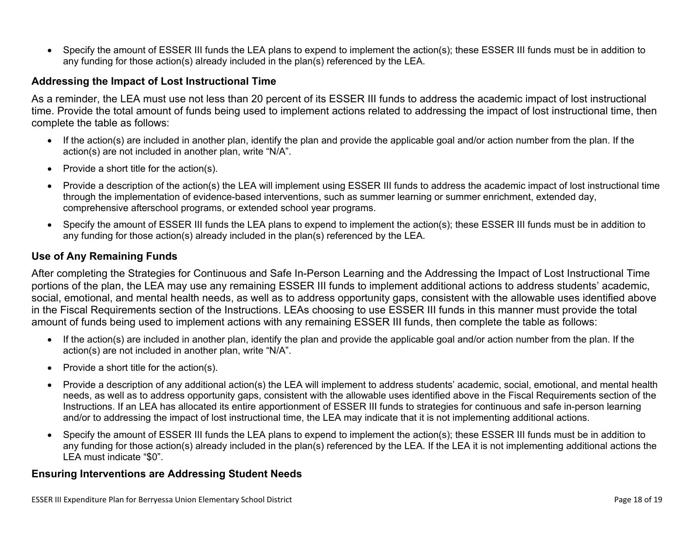• Specify the amount of ESSER III funds the LEA plans to expend to implement the action(s); these ESSER III funds must be in addition to any funding for those action(s) already included in the plan(s) referenced by the LEA.

#### <span id="page-17-0"></span>**Addressing the Impact of Lost Instructional Time**

As a reminder, the LEA must use not less than 20 percent of its ESSER III funds to address the academic impact of lost instructional time. Provide the total amount of funds being used to implement actions related to addressing the impact of lost instructional time, then complete the table as follows:

- If the action(s) are included in another plan, identify the plan and provide the applicable goal and/or action number from the plan. If the action(s) are not included in another plan, write "N/A".
- Provide a short title for the action(s).
- Provide a description of the action(s) the LEA will implement using ESSER III funds to address the academic impact of lost instructional time through the implementation of evidence-based interventions, such as summer learning or summer enrichment, extended day, comprehensive afterschool programs, or extended school year programs.
- Specify the amount of ESSER III funds the LEA plans to expend to implement the action(s); these ESSER III funds must be in addition to any funding for those action(s) already included in the plan(s) referenced by the LEA.

#### <span id="page-17-1"></span>**Use of Any Remaining Funds**

After completing the Strategies for Continuous and Safe In-Person Learning and the Addressing the Impact of Lost Instructional Time portions of the plan, the LEA may use any remaining ESSER III funds to implement additional actions to address students' academic, social, emotional, and mental health needs, as well as to address opportunity gaps, consistent with the allowable uses identified above in the Fiscal Requirements section of the Instructions. LEAs choosing to use ESSER III funds in this manner must provide the total amount of funds being used to implement actions with any remaining ESSER III funds, then complete the table as follows:

- If the action(s) are included in another plan, identify the plan and provide the applicable goal and/or action number from the plan. If the action(s) are not included in another plan, write "N/A".
- Provide a short title for the action(s).
- Provide a description of any additional action(s) the LEA will implement to address students' academic, social, emotional, and mental health needs, as well as to address opportunity gaps, consistent with the allowable uses identified above in the Fiscal Requirements section of the Instructions. If an LEA has allocated its entire apportionment of ESSER III funds to strategies for continuous and safe in-person learning and/or to addressing the impact of lost instructional time, the LEA may indicate that it is not implementing additional actions.
- Specify the amount of ESSER III funds the LEA plans to expend to implement the action(s); these ESSER III funds must be in addition to any funding for those action(s) already included in the plan(s) referenced by the LEA. If the LEA it is not implementing additional actions the LEA must indicate "\$0".

#### <span id="page-17-2"></span>**Ensuring Interventions are Addressing Student Needs**